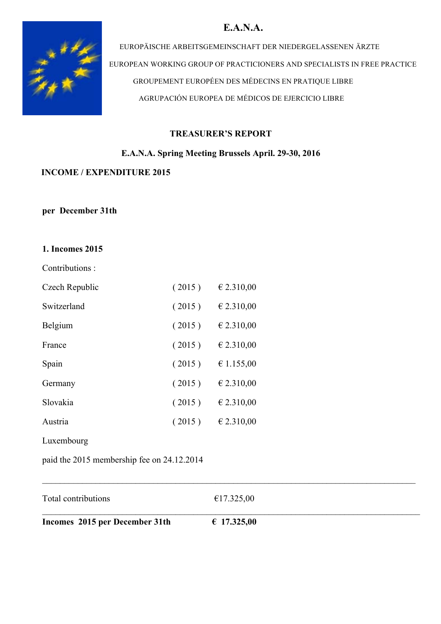# **E.A.N.A.**



EUROPÄISCHE ARBEITSGEMEINSCHAFT DER NIEDERGELASSENEN ÄRZTE EUROPEAN WORKING GROUP OF PRACTICIONERS AND SPECIALISTS IN FREE PRACTICE GROUPEMENT EUROPÉEN DES MÉDECINS EN PRATIQUE LIBRE AGRUPACIÓN EUROPEA DE MÉDICOS DE EJERCICIO LIBRE

### **TREASURER'S REPORT**

### **E.A.N.A. Spring Meeting Brussels April. 29-30, 2016**

### **INCOME / EXPENDITURE 2015**

#### **per December 31th**

### **1. Incomes 2015**

| Contributions: |  |
|----------------|--|
|                |  |

| Czech Republic | (2015) | € 2.310,00 |
|----------------|--------|------------|
| Switzerland    | (2015) | € 2.310,00 |
| Belgium        | (2015) | € 2.310,00 |
| France         | (2015) | € 2.310,00 |
| Spain          | (2015) | € 1.155,00 |
| Germany        | (2015) | € 2.310,00 |
| Slovakia       | (2015) | € 2.310,00 |
| Austria        | (2015) | € 2.310,00 |
| Luxembourg     |        |            |
|                |        |            |

paid the 2015 membership fee on 24.12.2014

| Total contributions            | €17.325,00  |  |
|--------------------------------|-------------|--|
| Incomes 2015 per December 31th | € 17.325,00 |  |

 $\mathcal{L}_\mathcal{L} = \{ \mathcal{L}_\mathcal{L} = \{ \mathcal{L}_\mathcal{L} = \{ \mathcal{L}_\mathcal{L} = \{ \mathcal{L}_\mathcal{L} = \{ \mathcal{L}_\mathcal{L} = \{ \mathcal{L}_\mathcal{L} = \{ \mathcal{L}_\mathcal{L} = \{ \mathcal{L}_\mathcal{L} = \{ \mathcal{L}_\mathcal{L} = \{ \mathcal{L}_\mathcal{L} = \{ \mathcal{L}_\mathcal{L} = \{ \mathcal{L}_\mathcal{L} = \{ \mathcal{L}_\mathcal{L} = \{ \mathcal{L}_\mathcal{$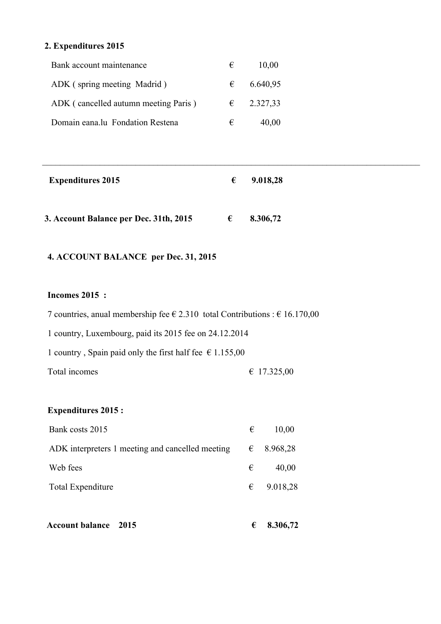# **2. Expenditures 2015**

| Bank account maintenance             | € | 10,00               |
|--------------------------------------|---|---------------------|
| ADK (spring meeting Madrid)          | € | 6.640,95            |
| ADK (cancelled autumn meeting Paris) |   | $\epsilon$ 2.327,33 |
| Domain eana.lu Fondation Restena     | € | 40,00               |

| <b>Expenditures 2015</b>               | € | 9.018,28 |  |
|----------------------------------------|---|----------|--|
| 3. Account Balance per Dec. 31th, 2015 | € | 8.306,72 |  |

 $\_$  ,  $\_$  ,  $\_$  ,  $\_$  ,  $\_$  ,  $\_$  ,  $\_$  ,  $\_$  ,  $\_$  ,  $\_$  ,  $\_$  ,  $\_$  ,  $\_$  ,  $\_$  ,  $\_$  ,  $\_$  ,  $\_$  ,  $\_$  ,  $\_$  ,  $\_$  ,  $\_$  ,  $\_$  ,  $\_$  ,  $\_$  ,  $\_$  ,  $\_$  ,  $\_$  ,  $\_$  ,  $\_$  ,  $\_$  ,  $\_$  ,  $\_$  ,  $\_$  ,  $\_$  ,  $\_$  ,  $\_$  ,  $\_$  ,

# **4. ACCOUNT BALANCE per Dec. 31, 2015**

### **Incomes 2015 :**

| 7 countries, anual membership fee $\epsilon$ 2.310 total Contributions : $\epsilon$ 16.170,00 |             |
|-----------------------------------------------------------------------------------------------|-------------|
| 1 country, Luxembourg, paid its 2015 fee on 24.12.2014                                        |             |
| 1 country, Spain paid only the first half fee $\epsilon$ 1.155,00                             |             |
| Total incomes                                                                                 | € 17.325,00 |

# **Expenditures 2015 :**

| Bank costs 2015                                  | € | 10,00               |
|--------------------------------------------------|---|---------------------|
| ADK interpreters 1 meeting and cancelled meeting |   | $\epsilon$ 8.968,28 |
| Web fees                                         | € | 40,00               |
| <b>Total Expenditure</b>                         |   | $\epsilon$ 9.018,28 |
|                                                  |   |                     |

| <b>Account balance</b> 2015 |  |  | $\epsilon$ 8.306,72 |
|-----------------------------|--|--|---------------------|
|-----------------------------|--|--|---------------------|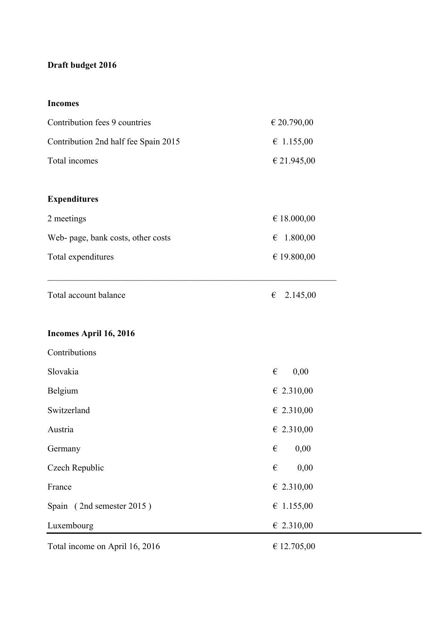# **Draft budget 2016**

## **Incomes**

| Contribution fees 9 countries        | € 20.790,00                     |
|--------------------------------------|---------------------------------|
| Contribution 2nd half fee Spain 2015 | $\epsilon$ 1.155,00             |
| Total incomes                        | € 21.945,00                     |
|                                      |                                 |
| <b>Expenditures</b>                  |                                 |
| 2 meetings                           | € 18.000,00                     |
| Web- page, bank costs, other costs   | $\epsilon$ 1.800,00             |
| Total expenditures                   | € 19.800,00                     |
|                                      |                                 |
| Total account balance                | 2.145,00<br>€                   |
|                                      |                                 |
| Incomes April 16, 2016               |                                 |
| Contributions                        |                                 |
| Slovakia                             | $\boldsymbol{\epsilon}$<br>0,00 |
| Belgium                              | $\epsilon$ 2.310,00             |
| Switzerland                          | $\epsilon$ 2.310,00             |
| Austria                              | $\epsilon$ 2.310,00             |
| Germany                              | 0,00<br>$\epsilon$              |
| Czech Republic                       | 0,00<br>$\boldsymbol{\epsilon}$ |
| France                               | $\epsilon$ 2.310,00             |
| Spain (2nd semester 2015)            | $\epsilon$ 1.155,00             |
| Luxembourg                           | $\epsilon$ 2.310,00             |
| Total income on April 16, 2016       | € 12.705,00                     |
|                                      |                                 |